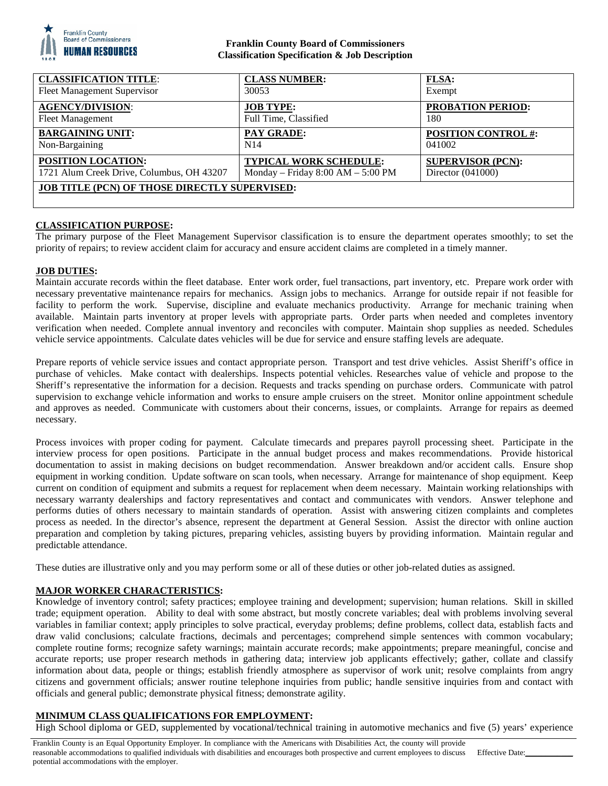

## **Franklin County Board of Commissioners Classification Specification & Job Description**

| <b>CLASSIFICATION TITLE:</b>                         | <b>CLASS NUMBER:</b>                | <b>FLSA:</b>               |
|------------------------------------------------------|-------------------------------------|----------------------------|
| <b>Fleet Management Supervisor</b>                   | 30053                               | Exempt                     |
| <b>AGENCY/DIVISION:</b>                              | <b>JOB TYPE:</b>                    | <b>PROBATION PERIOD:</b>   |
| <b>Fleet Management</b>                              | Full Time, Classified               | 180                        |
| <b>BARGAINING UNIT:</b>                              | PAY GRADE:                          | <b>POSITION CONTROL #:</b> |
| Non-Bargaining                                       | N <sub>14</sub>                     | 041002                     |
| POSITION LOCATION:                                   | <b>TYPICAL WORK SCHEDULE:</b>       | <b>SUPERVISOR (PCN):</b>   |
| 1721 Alum Creek Drive, Columbus, OH 43207            | Monday – Friday $8:00 AM - 5:00 PM$ | Director $(041000)$        |
| <b>JOB TITLE (PCN) OF THOSE DIRECTLY SUPERVISED:</b> |                                     |                            |

### **CLASSIFICATION PURPOSE:**

The primary purpose of the Fleet Management Supervisor classification is to ensure the department operates smoothly; to set the priority of repairs; to review accident claim for accuracy and ensure accident claims are completed in a timely manner.

### **JOB DUTIES:**

Maintain accurate records within the fleet database. Enter work order, fuel transactions, part inventory, etc. Prepare work order with necessary preventative maintenance repairs for mechanics. Assign jobs to mechanics. Arrange for outside repair if not feasible for facility to perform the work. Supervise, discipline and evaluate mechanics productivity. Arrange for mechanic training when available. Maintain parts inventory at proper levels with appropriate parts. Order parts when needed and completes inventory verification when needed. Complete annual inventory and reconciles with computer. Maintain shop supplies as needed. Schedules vehicle service appointments. Calculate dates vehicles will be due for service and ensure staffing levels are adequate.

Prepare reports of vehicle service issues and contact appropriate person. Transport and test drive vehicles. Assist Sheriff's office in purchase of vehicles. Make contact with dealerships. Inspects potential vehicles. Researches value of vehicle and propose to the Sheriff's representative the information for a decision. Requests and tracks spending on purchase orders. Communicate with patrol supervision to exchange vehicle information and works to ensure ample cruisers on the street. Monitor online appointment schedule and approves as needed. Communicate with customers about their concerns, issues, or complaints. Arrange for repairs as deemed necessary.

Process invoices with proper coding for payment. Calculate timecards and prepares payroll processing sheet. Participate in the interview process for open positions. Participate in the annual budget process and makes recommendations. Provide historical documentation to assist in making decisions on budget recommendation. Answer breakdown and/or accident calls. Ensure shop equipment in working condition. Update software on scan tools, when necessary. Arrange for maintenance of shop equipment. Keep current on condition of equipment and submits a request for replacement when deem necessary. Maintain working relationships with necessary warranty dealerships and factory representatives and contact and communicates with vendors. Answer telephone and performs duties of others necessary to maintain standards of operation. Assist with answering citizen complaints and completes process as needed. In the director's absence, represent the department at General Session. Assist the director with online auction preparation and completion by taking pictures, preparing vehicles, assisting buyers by providing information. Maintain regular and predictable attendance.

These duties are illustrative only and you may perform some or all of these duties or other job-related duties as assigned.

### **MAJOR WORKER CHARACTERISTICS:**

Knowledge of inventory control; safety practices; employee training and development; supervision; human relations. Skill in skilled trade; equipment operation. Ability to deal with some abstract, but mostly concrete variables; deal with problems involving several variables in familiar context; apply principles to solve practical, everyday problems; define problems, collect data, establish facts and draw valid conclusions; calculate fractions, decimals and percentages; comprehend simple sentences with common vocabulary; complete routine forms; recognize safety warnings; maintain accurate records; make appointments; prepare meaningful, concise and accurate reports; use proper research methods in gathering data; interview job applicants effectively; gather, collate and classify information about data, people or things; establish friendly atmosphere as supervisor of work unit; resolve complaints from angry citizens and government officials; answer routine telephone inquiries from public; handle sensitive inquiries from and contact with officials and general public; demonstrate physical fitness; demonstrate agility.

### **MINIMUM CLASS QUALIFICATIONS FOR EMPLOYMENT:**

High School diploma or GED, supplemented by vocational/technical training in automotive mechanics and five (5) years' experience